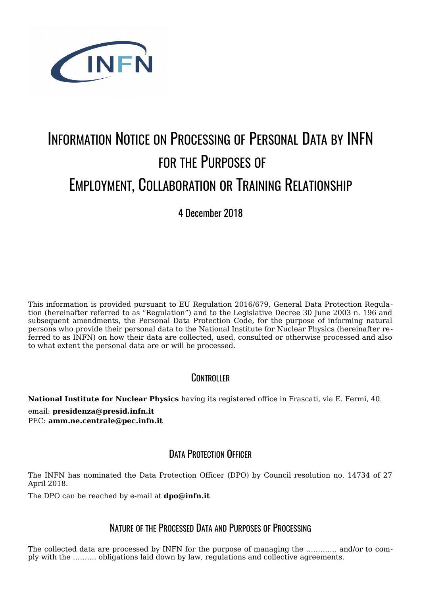

# INFORMATION NOTICE ON PROCESSING OF PERSONAL DATA BY INFN FOR THE PURPOSES OF EMPLOYMENT, COLLABORATION OR TRAINING RELATIONSHIP

4 December 2018

This information is provided pursuant to EU Regulation 2016/679, General Data Protection Regulation (hereinafter referred to as "Regulation") and to the Legislative Decree 30 June 2003 n. 196 and subsequent amendments, the Personal Data Protection Code, for the purpose of informing natural persons who provide their personal data to the National Institute for Nuclear Physics (hereinafter referred to as INFN) on how their data are collected, used, consulted or otherwise processed and also to what extent the personal data are or will be processed.

# **CONTROLLER**

**National Institute for Nuclear Physics** having its registered office in Frascati, via E. Fermi, 40. email: **[presidenza@presid.infn.it](mailto:presidenza@presid.infn.it)** PEC: **[amm.ne.centrale@pec.infn.it](mailto:amm.ne.centrale@pec.infn.it)**

# DATA PROTECTION OFFICER

The INFN has nominated the Data Protection Officer (DPO) by Council resolution no. 14734 of 27 April 2018.

The DPO can be reached by e-mail at **[dpo@infn.it](mailto:dpo@infn.it)**

# NATURE OF THE PROCESSED DATA AND PURPOSES OF PROCESSING

The collected data are processed by INFN for the purpose of managing the …………. and/or to comply with the ………. obligations laid down by law, regulations and collective agreements.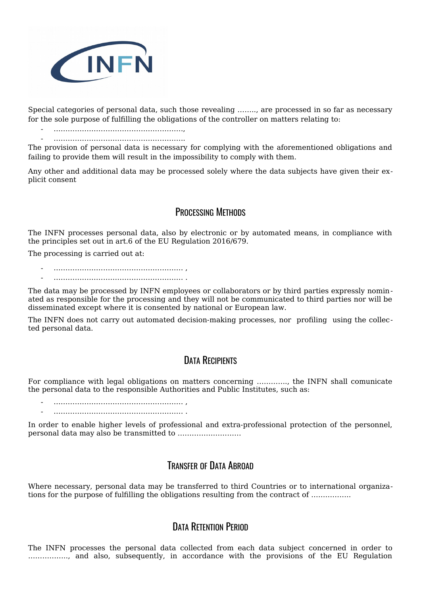

Special categories of personal data, such those revealing …….., are processed in so far as necessary for the sole purpose of fulfilling the obligations of the controller on matters relating to:

- ……………………………………………….,

- ………………………………………………..

The provision of personal data is necessary for complying with the aforementioned obligations and failing to provide them will result in the impossibility to comply with them.

Any other and additional data may be processed solely where the data subjects have given their explicit consent

#### PROCESSING METHODS

The INFN processes personal data, also by electronic or by automated means, in compliance with the principles set out in art.6 of the EU Regulation 2016/679.

The processing is carried out at:

- ………………………………………………. , - ………………………………………………. .

The data may be processed by INFN employees or collaborators or by third parties expressly nominated as responsible for the processing and they will not be communicated to third parties nor will be disseminated except where it is consented by national or European law.

The INFN does not carry out automated decision-making processes, nor profiling using the collected personal data.

#### DATA RECIPIENTS

For compliance with legal obligations on matters concerning …………., the INFN shall comunicate the personal data to the responsible Authorities and Public Institutes, such as:

- ………………………………………………. ,

- ………………………………………………. .

In order to enable higher levels of professional and extra-professional protection of the personnel, personal data may also be transmitted to ………………………

#### TRANSFER OF DATA ABROAD

Where necessary, personal data may be transferred to third Countries or to international organizations for the purpose of fulfilling the obligations resulting from the contract of ……………..

### DATA RETENTION PERIOD

The INFN processes the personal data collected from each data subject concerned in order to …………….., and also, subsequently, in accordance with the provisions of the EU Regulation